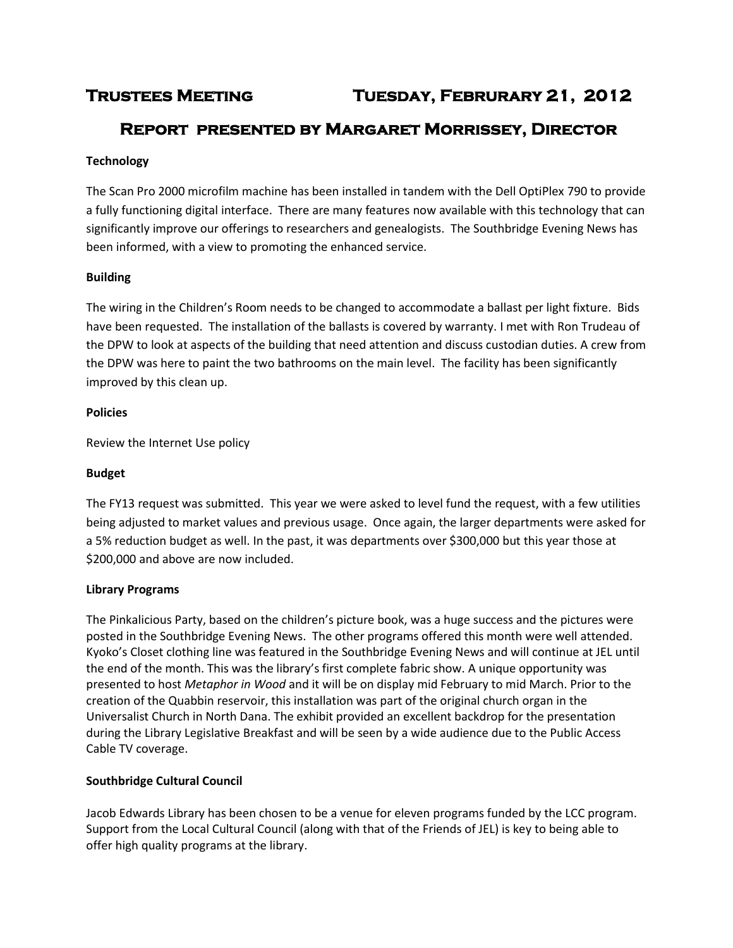# **Trustees Meeting Tuesday, Februrary 21, 2012**

## **Report presented by Margaret Morrissey, Director**

## **Technology**

The Scan Pro 2000 microfilm machine has been installed in tandem with the Dell OptiPlex 790 to provide a fully functioning digital interface. There are many features now available with this technology that can significantly improve our offerings to researchers and genealogists. The Southbridge Evening News has been informed, with a view to promoting the enhanced service.

## **Building**

The wiring in the Children's Room needs to be changed to accommodate a ballast per light fixture. Bids have been requested. The installation of the ballasts is covered by warranty. I met with Ron Trudeau of the DPW to look at aspects of the building that need attention and discuss custodian duties. A crew from the DPW was here to paint the two bathrooms on the main level. The facility has been significantly improved by this clean up.

#### **Policies**

Review the Internet Use policy

## **Budget**

The FY13 request was submitted. This year we were asked to level fund the request, with a few utilities being adjusted to market values and previous usage. Once again, the larger departments were asked for a 5% reduction budget as well. In the past, it was departments over \$300,000 but this year those at \$200,000 and above are now included.

#### **Library Programs**

The Pinkalicious Party, based on the children's picture book, was a huge success and the pictures were posted in the Southbridge Evening News. The other programs offered this month were well attended. Kyoko's Closet clothing line was featured in the Southbridge Evening News and will continue at JEL until the end of the month. This was the library's first complete fabric show. A unique opportunity was presented to host *Metaphor in Wood* and it will be on display mid February to mid March. Prior to the creation of the Quabbin reservoir, this installation was part of the original church organ in the Universalist Church in North Dana. The exhibit provided an excellent backdrop for the presentation during the Library Legislative Breakfast and will be seen by a wide audience due to the Public Access Cable TV coverage.

## **Southbridge Cultural Council**

Jacob Edwards Library has been chosen to be a venue for eleven programs funded by the LCC program. Support from the Local Cultural Council (along with that of the Friends of JEL) is key to being able to offer high quality programs at the library.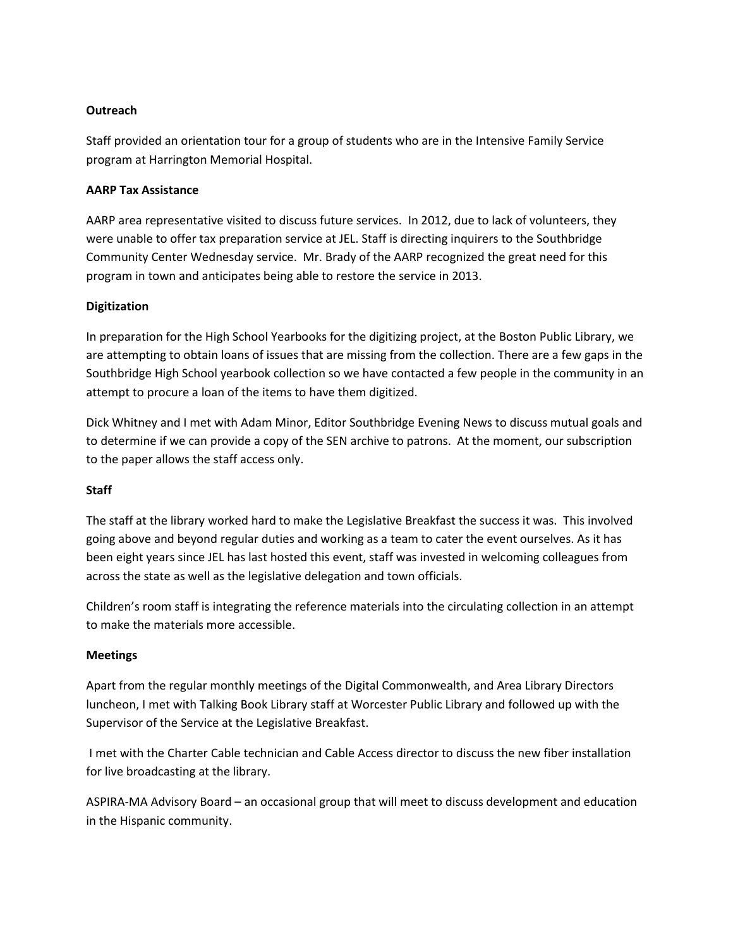#### **Outreach**

Staff provided an orientation tour for a group of students who are in the Intensive Family Service program at Harrington Memorial Hospital.

#### **AARP Tax Assistance**

AARP area representative visited to discuss future services. In 2012, due to lack of volunteers, they were unable to offer tax preparation service at JEL. Staff is directing inquirers to the Southbridge Community Center Wednesday service. Mr. Brady of the AARP recognized the great need for this program in town and anticipates being able to restore the service in 2013.

## **Digitization**

In preparation for the High School Yearbooks for the digitizing project, at the Boston Public Library, we are attempting to obtain loans of issues that are missing from the collection. There are a few gaps in the Southbridge High School yearbook collection so we have contacted a few people in the community in an attempt to procure a loan of the items to have them digitized.

Dick Whitney and I met with Adam Minor, Editor Southbridge Evening News to discuss mutual goals and to determine if we can provide a copy of the SEN archive to patrons. At the moment, our subscription to the paper allows the staff access only.

#### **Staff**

The staff at the library worked hard to make the Legislative Breakfast the success it was. This involved going above and beyond regular duties and working as a team to cater the event ourselves. As it has been eight years since JEL has last hosted this event, staff was invested in welcoming colleagues from across the state as well as the legislative delegation and town officials.

Children's room staff is integrating the reference materials into the circulating collection in an attempt to make the materials more accessible.

## **Meetings**

Apart from the regular monthly meetings of the Digital Commonwealth, and Area Library Directors luncheon, I met with Talking Book Library staff at Worcester Public Library and followed up with the Supervisor of the Service at the Legislative Breakfast.

I met with the Charter Cable technician and Cable Access director to discuss the new fiber installation for live broadcasting at the library.

ASPIRA-MA Advisory Board – an occasional group that will meet to discuss development and education in the Hispanic community.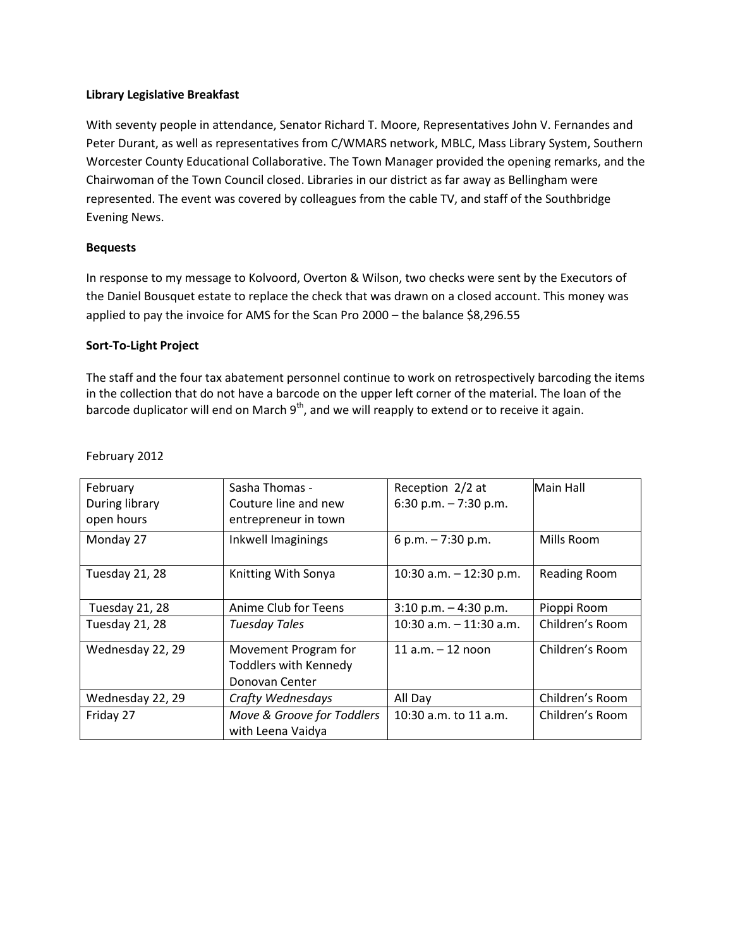#### **Library Legislative Breakfast**

With seventy people in attendance, Senator Richard T. Moore, Representatives John V. Fernandes and Peter Durant, as well as representatives from C/WMARS network, MBLC, Mass Library System, Southern Worcester County Educational Collaborative. The Town Manager provided the opening remarks, and the Chairwoman of the Town Council closed. Libraries in our district as far away as Bellingham were represented. The event was covered by colleagues from the cable TV, and staff of the Southbridge Evening News.

#### **Bequests**

In response to my message to Kolvoord, Overton & Wilson, two checks were sent by the Executors of the Daniel Bousquet estate to replace the check that was drawn on a closed account. This money was applied to pay the invoice for AMS for the Scan Pro 2000 – the balance \$8,296.55

#### **Sort-To-Light Project**

The staff and the four tax abatement personnel continue to work on retrospectively barcoding the items in the collection that do not have a barcode on the upper left corner of the material. The loan of the barcode duplicator will end on March  $9<sup>th</sup>$ , and we will reapply to extend or to receive it again.

| February         | Sasha Thomas -               | Reception 2/2 at           | Main Hall           |
|------------------|------------------------------|----------------------------|---------------------|
| During library   | Couture line and new         | 6:30 p.m. $-7:30$ p.m.     |                     |
|                  |                              |                            |                     |
| open hours       | entrepreneur in town         |                            |                     |
| Monday 27        | Inkwell Imaginings           | 6 p.m. $-7:30$ p.m.        | Mills Room          |
|                  |                              |                            |                     |
| Tuesday 21, 28   | Knitting With Sonya          | 10:30 a.m. $-$ 12:30 p.m.  | <b>Reading Room</b> |
|                  |                              |                            |                     |
| Tuesday 21, 28   | Anime Club for Teens         | $3:10$ p.m. $-4:30$ p.m.   | Pioppi Room         |
| Tuesday 21, 28   | <b>Tuesday Tales</b>         | $10:30$ a.m. $-11:30$ a.m. | Children's Room     |
|                  |                              |                            |                     |
| Wednesday 22, 29 | Movement Program for         | 11 $a.m. - 12$ noon        | Children's Room     |
|                  | <b>Toddlers with Kennedy</b> |                            |                     |
|                  | Donovan Center               |                            |                     |
| Wednesday 22, 29 | Crafty Wednesdays            | All Day                    | Children's Room     |
| Friday 27        | Move & Groove for Toddlers   | 10:30 a.m. to 11 a.m.      | Children's Room     |
|                  | with Leena Vaidya            |                            |                     |

#### February 2012